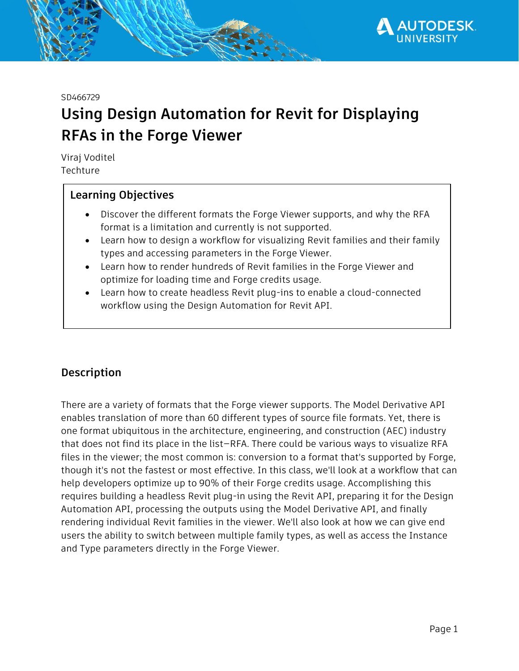

#### SD466729

# **Using Design Automation for Revit for Displaying RFAs in the Forge Viewer**

Viraj Voditel Techture

## **Learning Objectives**

- Discover the different formats the Forge Viewer supports, and why the RFA format is a limitation and currently is not supported.
- Learn how to design a workflow for visualizing Revit families and their family types and accessing parameters in the Forge Viewer.
- Learn how to render hundreds of Revit families in the Forge Viewer and optimize for loading time and Forge credits usage.
- Learn how to create headless Revit plug-ins to enable a cloud-connected workflow using the Design Automation for Revit API.

## **Description**

There are a variety of formats that the Forge viewer supports. The Model Derivative API enables translation of more than 60 different types of source file formats. Yet, there is one format ubiquitous in the architecture, engineering, and construction (AEC) industry that does not find its place in the list—RFA. There could be various ways to visualize RFA files in the viewer; the most common is: conversion to a format that's supported by Forge, though it's not the fastest or most effective. In this class, we'll look at a workflow that can help developers optimize up to 90% of their Forge credits usage. Accomplishing this requires building a headless Revit plug-in using the Revit API, preparing it for the Design Automation API, processing the outputs using the Model Derivative API, and finally rendering individual Revit families in the viewer. We'll also look at how we can give end users the ability to switch between multiple family types, as well as access the Instance and Type parameters directly in the Forge Viewer.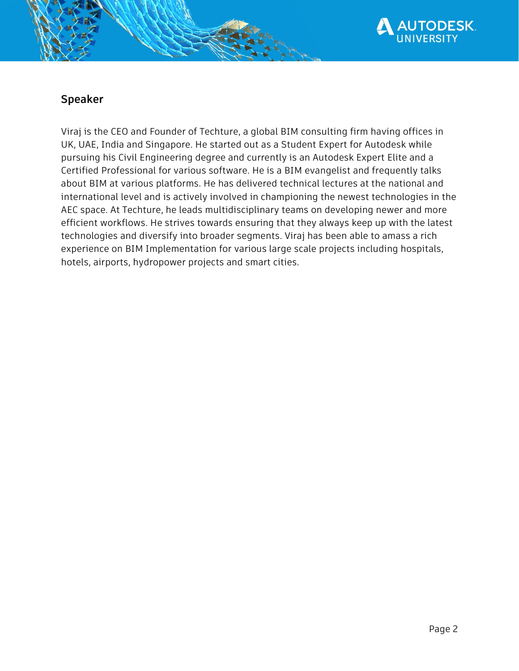

## **Speaker**

Viraj is the CEO and Founder of Techture, a global BIM consulting firm having offices in UK, UAE, India and Singapore. He started out as a Student Expert for Autodesk while pursuing his Civil Engineering degree and currently is an Autodesk Expert Elite and a Certified Professional for various software. He is a BIM evangelist and frequently talks about BIM at various platforms. He has delivered technical lectures at the national and international level and is actively involved in championing the newest technologies in the AEC space. At Techture, he leads multidisciplinary teams on developing newer and more efficient workflows. He strives towards ensuring that they always keep up with the latest technologies and diversify into broader segments. Viraj has been able to amass a rich experience on BIM Implementation for various large scale projects including hospitals, hotels, airports, hydropower projects and smart cities.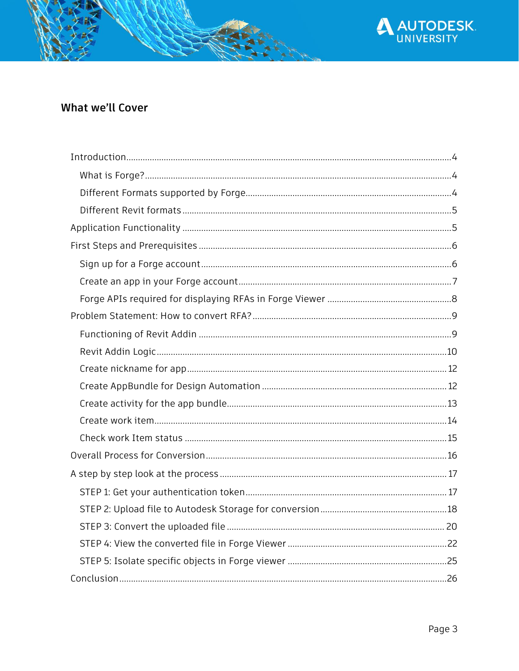

**AUTODESK.**<br>UNIVERSITY

 $\boldsymbol{\Lambda}$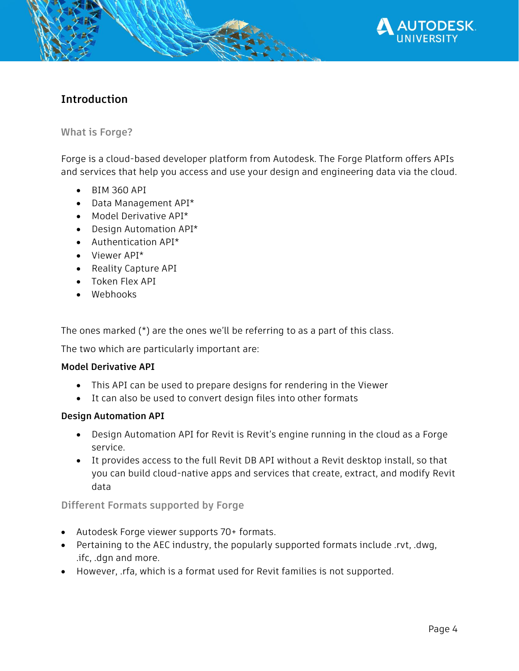

## <span id="page-3-0"></span>**Introduction**

### <span id="page-3-1"></span>**What is Forge?**

Forge is a cloud-based developer platform from Autodesk. The Forge Platform offers APIs and services that help you access and use your design and engineering data via the cloud.

- BIM 360 API
- Data Management API\*
- Model Derivative API\*
- Design Automation API\*
- Authentication API\*
- Viewer API\*
- Reality Capture API
- Token Flex API
- Webhooks

The ones marked (\*) are the ones we'll be referring to as a part of this class.

The two which are particularly important are:

### **Model Derivative API**

- This API can be used to prepare designs for rendering in the Viewer
- It can also be used to convert design files into other formats

### **Design Automation API**

- Design Automation API for Revit is Revit's engine running in the cloud as a Forge service.
- It provides access to the full Revit DB API without a Revit desktop install, so that you can build cloud-native apps and services that create, extract, and modify Revit data

### <span id="page-3-2"></span>**Different Formats supported by Forge**

- Autodesk Forge viewer supports 70+ formats.
- Pertaining to the AEC industry, the popularly supported formats include .rvt, .dwg, .ifc, .dgn and more.
- However, .rfa, which is a format used for Revit families is not supported.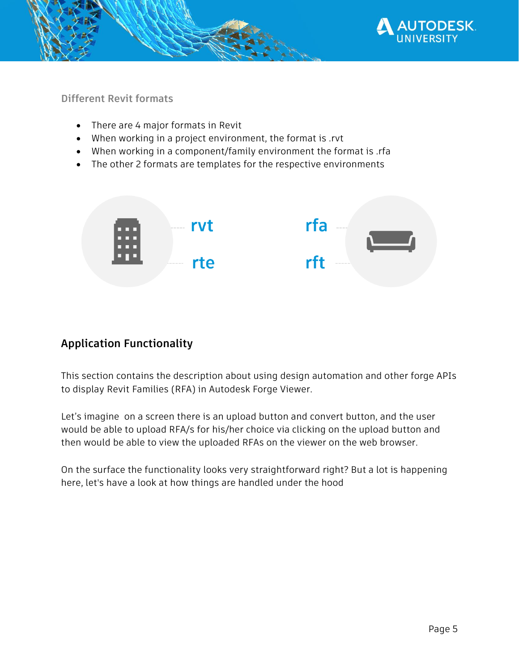

<span id="page-4-0"></span>**Different Revit formats**

- There are 4 major formats in Revit
- When working in a project environment, the format is .rvt
- When working in a component/family environment the format is .rfa
- The other 2 formats are templates for the respective environments



# <span id="page-4-1"></span>**Application Functionality**

This section contains the description about using design automation and other forge APIs to display Revit Families (RFA) in Autodesk Forge Viewer.

Let's imagine on a screen there is an upload button and convert button, and the user would be able to upload RFA/s for his/her choice via clicking on the upload button and then would be able to view the uploaded RFAs on the viewer on the web browser.

On the surface the functionality looks very straightforward right? But a lot is happening here, let's have a look at how things are handled under the hood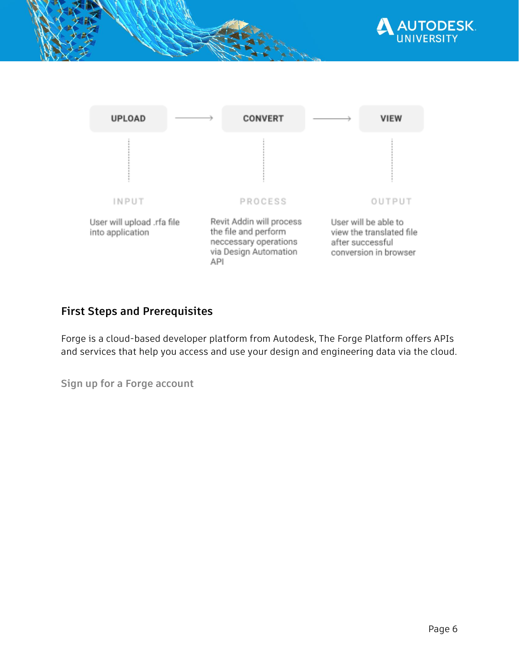



## <span id="page-5-0"></span>**First Steps and Prerequisites**

Forge is a cloud-based developer platform from Autodesk, The Forge Platform offers APIs and services that help you access and use your design and engineering data via the cloud.

<span id="page-5-1"></span>**Sign up for a Forge account**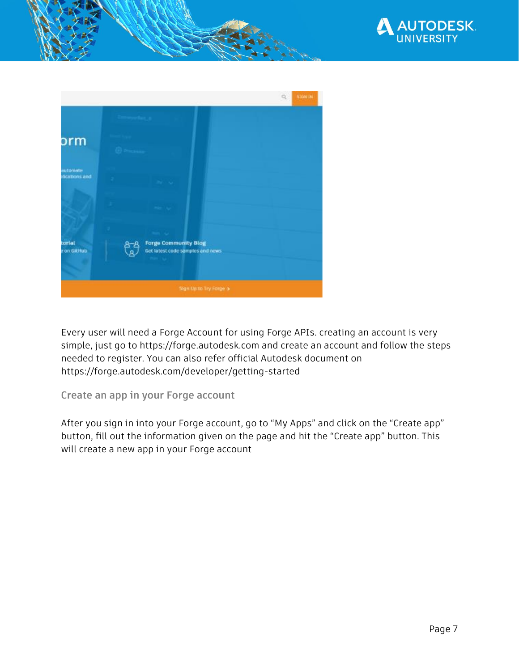



Every user will need a Forge Account for using Forge APIs. creating an account is very simple, just go to https://forge.autodesk.com and create an account and follow the steps needed to register. You can also refer official Autodesk document on https://forge.autodesk.com/developer/getting-started

### <span id="page-6-0"></span>**Create an app in your Forge account**

After you sign in into your Forge account, go to "My Apps" and click on the "Create app" button, fill out the information given on the page and hit the "Create app" button. This will create a new app in your Forge account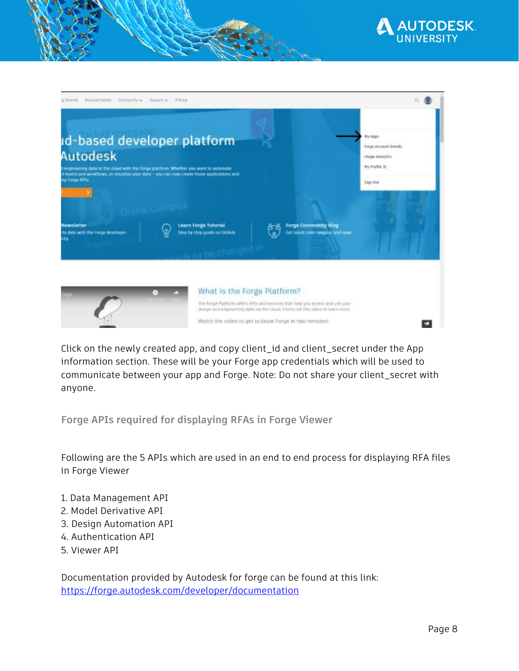

| Documentation Community > Support > Pricing<br>WINDER                                                                                                                        |                                                                                                                            |                                                                                                               |                                                                                                 |
|------------------------------------------------------------------------------------------------------------------------------------------------------------------------------|----------------------------------------------------------------------------------------------------------------------------|---------------------------------------------------------------------------------------------------------------|-------------------------------------------------------------------------------------------------|
| id-based developer platform<br><b>Autodesk</b><br>Fenginaering data in the doud with the forge platform. Whether you want to automate<br>ng Forge APIs.<br><b>Newsletter</b> | ct beams and workflows, or visualize your data -- you can now cinate those applications and<br><b>Learn Forge Tutorial</b> | <b>Forge Community Blog</b>                                                                                   | <b>Mix Apps</b><br>Forge Account Details<br>Usage Analytics<br>My Friddle 2E<br><b>Sign Out</b> |
| to date with the Forge developer.<br>inity.                                                                                                                                  | Step by step guide on GitHub                                                                                               | Set intest code samples and nows.                                                                             |                                                                                                 |
|                                                                                                                                                                              |                                                                                                                            |                                                                                                               |                                                                                                 |
|                                                                                                                                                                              |                                                                                                                            | What is the Forge Platform?<br>The Folge Plastons offers APIs and services that help you access antifuse your |                                                                                                 |
|                                                                                                                                                                              |                                                                                                                            | design and expressing data varittic cloud. Check out this value to learn more.                                |                                                                                                 |
|                                                                                                                                                                              |                                                                                                                            | Watch the video to get to know Forge in two minutes?                                                          |                                                                                                 |

Click on the newly created app, and copy client\_id and client\_secret under the App information section. These will be your Forge app credentials which will be used to communicate between your app and Forge. Note: Do not share your client\_secret with anyone.

<span id="page-7-0"></span>**Forge APIs required for displaying RFAs in Forge Viewer**

Following are the 5 APIs which are used in an end to end process for displaying RFA files in Forge Viewer

- 1. Data Management API
- 2. Model Derivative API
- 3. Design Automation API
- 4. Authentication API
- 5. Viewer API

Documentation provided by Autodesk for forge can be found at this link: <https://forge.autodesk.com/developer/documentation>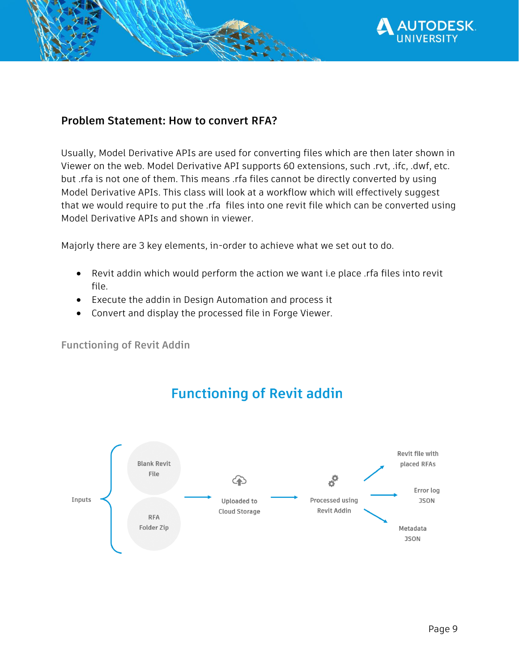

## <span id="page-8-0"></span>**Problem Statement: How to convert RFA?**

Usually, Model Derivative APIs are used for converting files which are then later shown in Viewer on the web. Model Derivative API supports 60 extensions, such .rvt, .ifc, .dwf, etc. but .rfa is not one of them. This means .rfa files cannot be directly converted by using Model Derivative APIs. This class will look at a workflow which will effectively suggest that we would require to put the .rfa files into one revit file which can be converted using Model Derivative APIs and shown in viewer.

Majorly there are 3 key elements, in-order to achieve what we set out to do.

- Revit addin which would perform the action we want i.e place .rfa files into revit file.
- Execute the addin in Design Automation and process it
- Convert and display the processed file in Forge Viewer.

<span id="page-8-1"></span>**Functioning of Revit Addin**

# **Functioning of Revit addin**

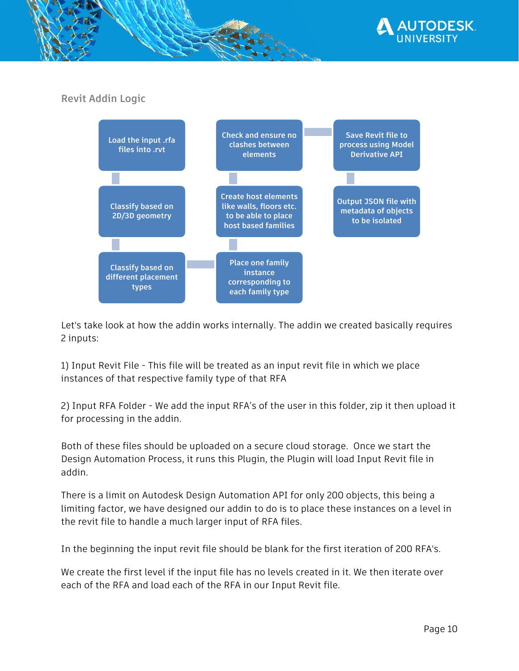

## <span id="page-9-0"></span>**Revit Addin Logic**



Let's take look at how the addin works internally. The addin we created basically requires 2 inputs:

1) Input Revit File - This file will be treated as an input revit file in which we place instances of that respective family type of that RFA

2) Input RFA Folder - We add the input RFA's of the user in this folder, zip it then upload it for processing in the addin.

Both of these files should be uploaded on a secure cloud storage. Once we start the Design Automation Process, it runs this Plugin, the Plugin will load Input Revit file in addin.

There is a limit on Autodesk Design Automation API for only 200 objects, this being a limiting factor, we have designed our addin to do is to place these instances on a level in the revit file to handle a much larger input of RFA files.

In the beginning the input revit file should be blank for the first iteration of 200 RFA's.

We create the first level if the input file has no levels created in it. We then iterate over each of the RFA and load each of the RFA in our Input Revit file.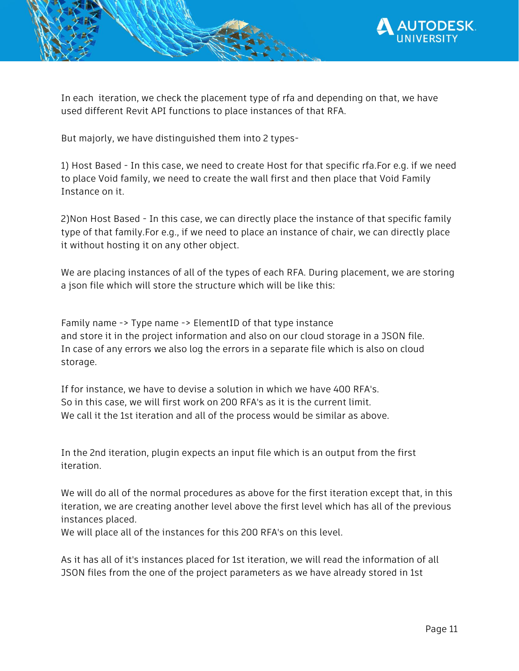

In each iteration, we check the placement type of rfa and depending on that, we have used different Revit API functions to place instances of that RFA.

But majorly, we have distinguished them into 2 types-

1) Host Based - In this case, we need to create Host for that specific rfa.For e.g. if we need to place Void family, we need to create the wall first and then place that Void Family Instance on it.

2)Non Host Based - In this case, we can directly place the instance of that specific family type of that family.For e.g., if we need to place an instance of chair, we can directly place it without hosting it on any other object.

We are placing instances of all of the types of each RFA. During placement, we are storing a json file which will store the structure which will be like this:

Family name -> Type name -> ElementID of that type instance and store it in the project information and also on our cloud storage in a JSON file. In case of any errors we also log the errors in a separate file which is also on cloud storage.

If for instance, we have to devise a solution in which we have 400 RFA's. So in this case, we will first work on 200 RFA's as it is the current limit. We call it the 1st iteration and all of the process would be similar as above.

In the 2nd iteration, plugin expects an input file which is an output from the first iteration.

We will do all of the normal procedures as above for the first iteration except that, in this iteration, we are creating another level above the first level which has all of the previous instances placed.

We will place all of the instances for this 200 RFA's on this level.

As it has all of it's instances placed for 1st iteration, we will read the information of all JSON files from the one of the project parameters as we have already stored in 1st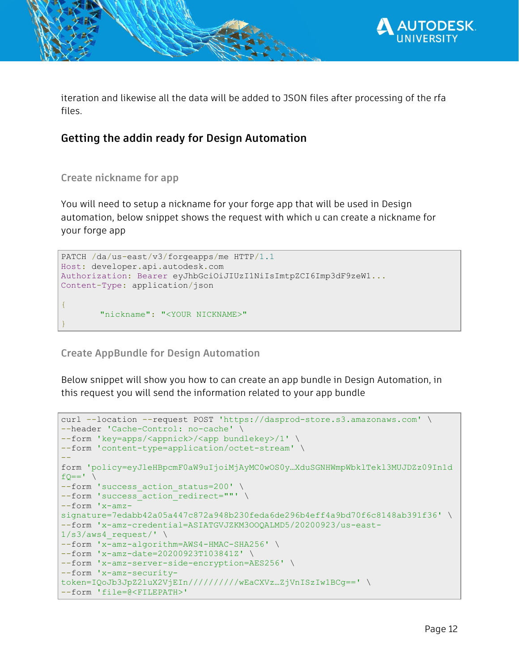

iteration and likewise all the data will be added to JSON files after processing of the rfa files.

## **Getting the addin ready for Design Automation**

<span id="page-11-0"></span>**Create nickname for app**

You will need to setup a nickname for your forge app that will be used in Design automation, below snippet shows the request with which u can create a nickname for your forge app

```
PATCH /da/us-east/v3/forgeapps/me HTTP/1.1
Host: developer.api.autodesk.com
Authorization: Bearer eyJhbGciOiJIUzI1NiIsImtpZCI6Imp3dF9zeW1...
Content-Type: application/json
{
       "nickname": "<YOUR NICKNAME>"
}
```
<span id="page-11-1"></span>**Create AppBundle for Design Automation** 

Below snippet will show you how to can create an app bundle in Design Automation, in this request you will send the information related to your app bundle

```
curl --location --request POST 'https://dasprod-store.s3.amazonaws.com' \
--header 'Cache-Control: no-cache' \
--form 'key=apps/<appnick>/<app bundlekey>/1' \
--form 'content-type=application/octet-stream' \
--
form 'policy=eyJleHBpcmF0aW9uIjoiMjAyMC0wOS0y…XduSGNHWmpWbklTekl3MUJDZz09In1d
fQ=='--form 'success action status=200' \
--form 'success action redirect=""' \
--form 'x-amz-
signature=7edabb42a05a447c872a948b230feda6de296b4eff4a9bd70f6c8148ab391f36' \
--form 'x-amz-credential=ASIATGVJZKM3OOQALMD5/20200923/us-east-
1/s3/aws4 request/' \
--form 'x-amz-algorithm=AWS4-HMAC-SHA256' \
--form 'x-amz-date=20200923T103841Z' \
--form 'x-amz-server-side-encryption=AES256' \
--form 'x-amz-security-
token=IQoJb3JpZ2luX2VjEIn//////////wEaCXVz…ZjVnISzIw1BCg==' \
--form 'file=@<FILEPATH>'
```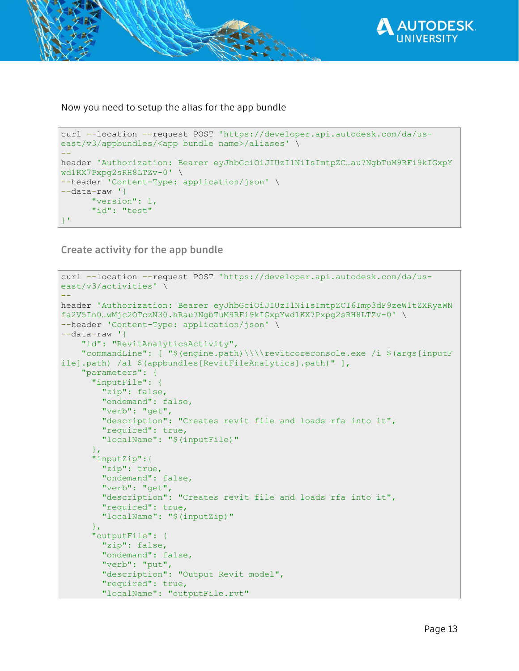

Now you need to setup the alias for the app bundle

```
curl --location --request POST 'https://developer.api.autodesk.com/da/us-
east/v3/appbundles/<app bundle name>/aliases' \
--
header 'Authorization: Bearer eyJhbGciOiJIUzI1NiIsImtpZC…au7NgbTuM9RFi9kIGxpY
wd1KX7Pxpg2sRH8LTZv-0' \
--header 'Content-Type: application/json' \
--data-raw '{
      "version": 1,
       "id": "test"
}'
```
<span id="page-12-0"></span>**Create activity for the app bundle**

```
curl --location --request POST 'https://developer.api.autodesk.com/da/us-
east/v3/activities' \
--
header 'Authorization: Bearer eyJhbGciOiJIUzI1NiIsImtpZCI6Imp3dF9zeW1tZXRyaWN
fa2V5In0…wMjc2OTczN30.hRau7NgbTuM9RFi9kIGxpYwd1KX7Pxpg2sRH8LTZv-0' \
--header 'Content-Type: application/json' \
--data-raw '{
     "id": "RevitAnalyticsActivity",
     "commandLine": [ "$(engine.path)\\\\revitcoreconsole.exe /i $(args[inputF
ile].path) /al $(appbundles[RevitFileAnalytics].path)" ],
     "parameters": {
       "inputFile": {
         "zip": false,
         "ondemand": false,
         "verb": "get",
         "description": "Creates revit file and loads rfa into it",
         "required": true,
         "localName": "$(inputFile)"
       },
       "inputZip":{
         "zip": true,
         "ondemand": false,
         "verb": "get",
         "description": "Creates revit file and loads rfa into it",
         "required": true,
         "localName": "$(inputZip)"
       },
       "outputFile": {
         "zip": false,
         "ondemand": false,
         "verb": "put",
         "description": "Output Revit model",
         "required": true,
         "localName": "outputFile.rvt"
```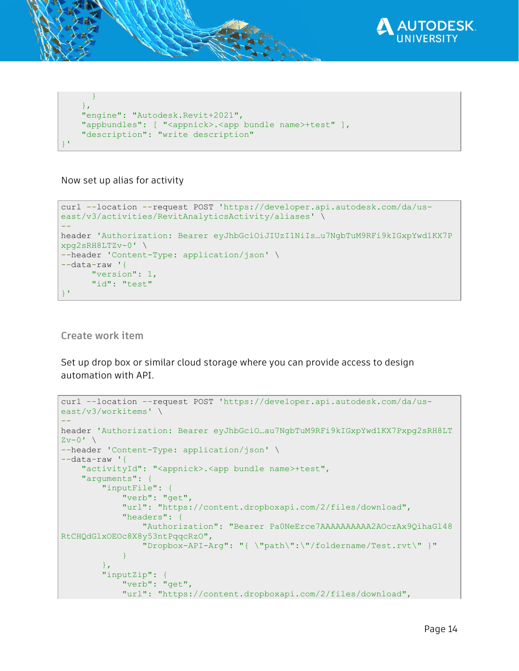

```
\left\{\begin{array}{cc} 1 & 0 \\ 0 & 0 \end{array}\right\} },
      "engine": "Autodesk.Revit+2021",
      "appbundles": [ "<appnick>.<app bundle name>+test" ],
      "description": "write description"
}'
```
Now set up alias for activity

```
curl --location --request POST 'https://developer.api.autodesk.com/da/us-
east/v3/activities/RevitAnalyticsActivity/aliases' \
--
header 'Authorization: Bearer eyJhbGciOiJIUzI1NiIs…u7NgbTuM9RFi9kIGxpYwd1KX7P
xpg2sRH8LTZv-0' \
--header 'Content-Type: application/json' \
--data-raw '{
      "version": 1,
      "id": "test"
}'
```
<span id="page-13-0"></span>**Create work item** 

Set up drop box or similar cloud storage where you can provide access to design automation with API.

```
curl --location --request POST 'https://developer.api.autodesk.com/da/us-
east/v3/workitems' \
--
header 'Authorization: Bearer eyJhbGciO…au7NgbTuM9RFi9kIGxpYwd1KX7Pxpg2sRH8LT
Zv-0' \
--header 'Content-Type: application/json' \
--data-raw '{
    "activityId": "<appnick>.<app bundle name>+test",
     "arguments": {
         "inputFile": {
             "verb": "get",
             "url": "https://content.dropboxapi.com/2/files/download",
             "headers": {
                 "Authorization": "Bearer Pa0NeErce7AAAAAAAAAA2AOczAx9QihaGl48
RtCHQdGlxOEOc8X8y53ntPqqcRzO",
                 "Dropbox-API-Arg": "{ \"path\":\"/foldername/Test.rvt\" }"
 }
         },
         "inputZip": {
             "verb": "get",
             "url": "https://content.dropboxapi.com/2/files/download",
```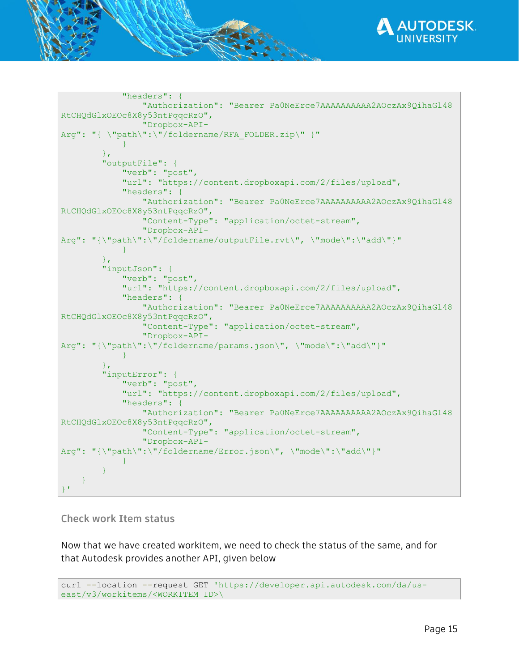

```
 "headers": {
                 "Authorization": "Bearer Pa0NeErce7AAAAAAAAAA2AOczAx9QihaGl48
RtCHQdGlxOEOc8X8y53ntPqqcRzO",
                 "Dropbox-API-
Arg": "{ \"path\":\"/foldername/RFA_FOLDER.zip\" }"
 }
         },
         "outputFile": {
             "verb": "post",
             "url": "https://content.dropboxapi.com/2/files/upload",
             "headers": {
                 "Authorization": "Bearer Pa0NeErce7AAAAAAAAAA2AOczAx9QihaGl48
RtCHQdGlxOEOc8X8y53ntPqqcRzO",
                 "Content-Type": "application/octet-stream",
                 "Dropbox-API-
Arg": "{\"path\":\"/foldername/outputFile.rvt\", \"mode\":\"add\"}"
 }
         },
         "inputJson": {
            "verb": "post",
             "url": "https://content.dropboxapi.com/2/files/upload",
             "headers": {
                 "Authorization": "Bearer Pa0NeErce7AAAAAAAAAA2AOczAx9QihaGl48
RtCHQdGlxOEOc8X8y53ntPqqcRzO",
                 "Content-Type": "application/octet-stream",
                 "Dropbox-API-
Arg": "{\"path\":\"/foldername/params.json\", \"mode\":\"add\"}"
 }
         },
         "inputError": {
             "verb": "post",
             "url": "https://content.dropboxapi.com/2/files/upload",
             "headers": {
                 "Authorization": "Bearer Pa0NeErce7AAAAAAAAAA2AOczAx9QihaGl48
RtCHQdGlxOEOc8X8y53ntPqqcRzO",
                 "Content-Type": "application/octet-stream",
                 "Dropbox-API-
Arg": "{\"path\":\"/foldername/Error.json\", \"mode\":\"add\"}"
 }
 }
    }
}'
```
<span id="page-14-0"></span>**Check work Item status**

Now that we have created workitem, we need to check the status of the same, and for that Autodesk provides another API, given below

```
curl --location --request GET 'https://developer.api.autodesk.com/da/us-
east/v3/workitems/<WORKITEM ID>\
```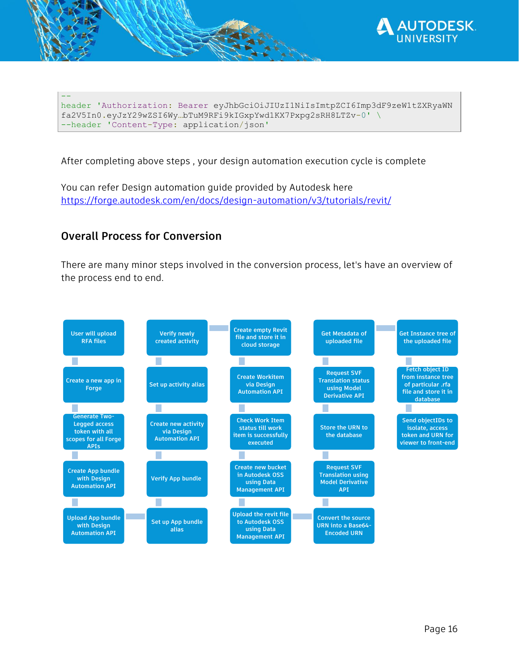

header 'Authorization: Bearer eyJhbGciOiJIUzI1NiIsImtpZCI6Imp3dF9zeW1tZXRyaWN fa2V5In0.eyJzY29wZSI6Wy…bTuM9RFi9kIGxpYwd1KX7Pxpg2sRH8LTZv-0' \ --header 'Content-Type: application/json'

After completing above steps , your design automation execution cycle is complete

You can refer Design automation guide provided by Autodesk here <https://forge.autodesk.com/en/docs/design-automation/v3/tutorials/revit/>

## <span id="page-15-0"></span>**Overall Process for Conversion**

--

There are many minor steps involved in the conversion process, let's have an overview of the process end to end.

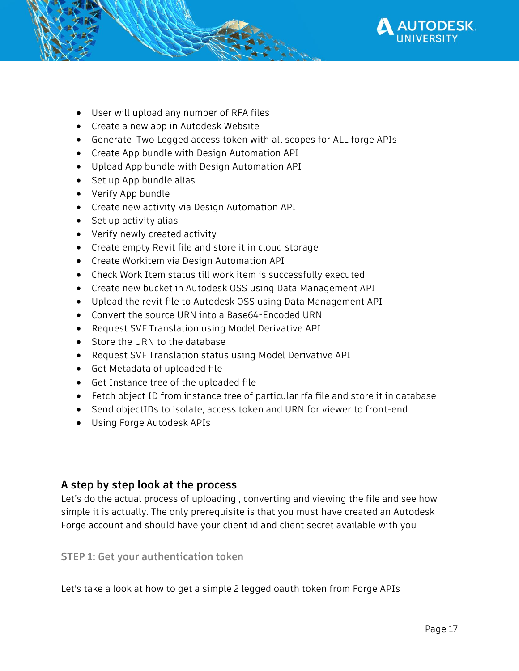

- User will upload any number of RFA files
- Create a new app in Autodesk Website
- Generate Two Legged access token with all scopes for ALL forge APIs
- Create App bundle with Design Automation API
- Upload App bundle with Design Automation API
- Set up App bundle alias
- Verify App bundle
- Create new activity via Design Automation API
- Set up activity alias
- Verify newly created activity
- Create empty Revit file and store it in cloud storage
- Create Workitem via Design Automation API
- Check Work Item status till work item is successfully executed
- Create new bucket in Autodesk OSS using Data Management API
- Upload the revit file to Autodesk OSS using Data Management API
- Convert the source URN into a Base64-Encoded URN
- Request SVF Translation using Model Derivative API
- Store the URN to the database
- Request SVF Translation status using Model Derivative API
- Get Metadata of uploaded file
- Get Instance tree of the uploaded file
- Fetch object ID from instance tree of particular rfa file and store it in database
- Send objectIDs to isolate, access token and URN for viewer to front-end
- Using Forge Autodesk APIs

## <span id="page-16-0"></span>**A step by step look at the process**

Let's do the actual process of uploading , converting and viewing the file and see how simple it is actually. The only prerequisite is that you must have created an Autodesk Forge account and should have your client id and client secret available with you

### <span id="page-16-1"></span>**STEP 1: Get your authentication token**

Let's take a look at how to get a simple 2 legged oauth token from Forge APIs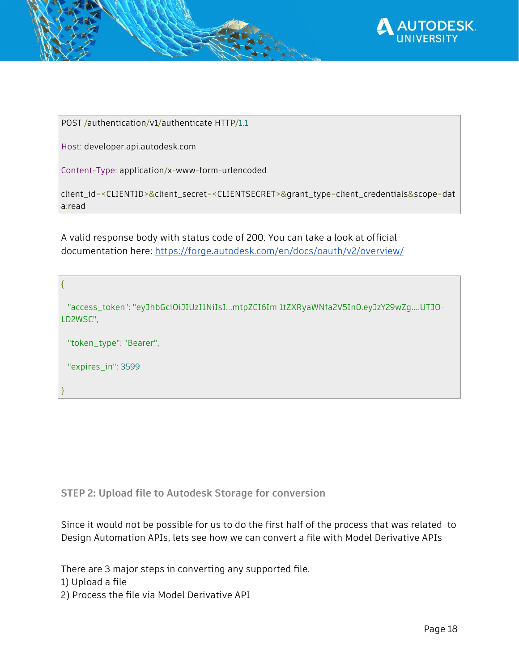

POST /authentication/v1/authenticate HTTP/1.1

Host: developer.api.autodesk.com

}

Content-Type: application/x-www-form-urlencoded

client\_id=<CLIENTID>&client\_secret=<CLIENTSECRET>&grant\_type=client\_credentials&scope=dat a:read

A valid response body with status code of 200. You can take a look at official documentation here:<https://forge.autodesk.com/en/docs/oauth/v2/overview/>

{ "access\_token": "eyJhbGciOiJIUzI1NiIsI...mtpZCI6Im 1tZXRyaWNfa2V5In0.eyJzY29wZg....UTJO-LD2WSC", "token\_type": "Bearer", "expires\_in": 3599

<span id="page-17-0"></span>**STEP 2: Upload file to Autodesk Storage for conversion**

Since it would not be possible for us to do the first half of the process that was related to Design Automation APIs, lets see how we can convert a file with Model Derivative APIs

There are 3 major steps in converting any supported file. 1) Upload a file

2) Process the file via Model Derivative API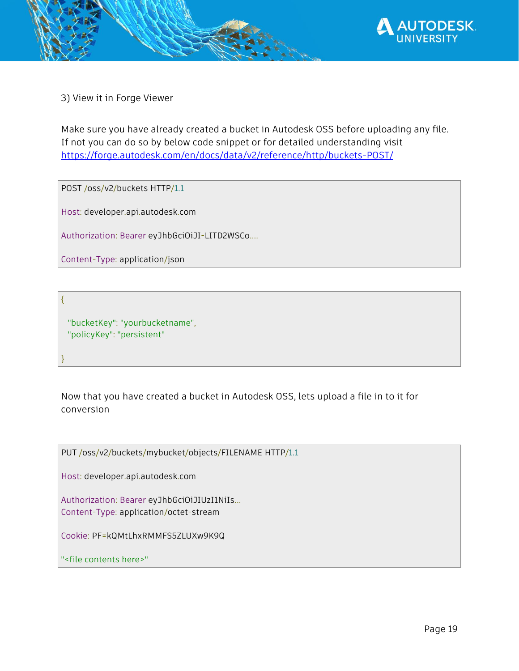

3) View it in Forge Viewer

Make sure you have already created a bucket in Autodesk OSS before uploading any file. If not you can do so by below code snippet or for detailed understanding visit <https://forge.autodesk.com/en/docs/data/v2/reference/http/buckets-POST/>

POST /oss/v2/buckets HTTP/1.1

Host: developer.api.autodesk.com

Authorization: Bearer eyJhbGciOiJI-LITD2WSCo....

Content-Type: application/json

{

}

 "bucketKey": "yourbucketname", "policyKey": "persistent"

Now that you have created a bucket in Autodesk OSS, lets upload a file in to it for conversion

PUT /oss/v2/buckets/mybucket/objects/FILENAME HTTP/1.1

Host: developer.api.autodesk.com

Authorization: Bearer eyJhbGciOiJIUzI1NiIs... Content-Type: application/octet-stream

Cookie: PF=kQMtLhxRMMFS5ZLUXw9K9Q

"<file contents here>"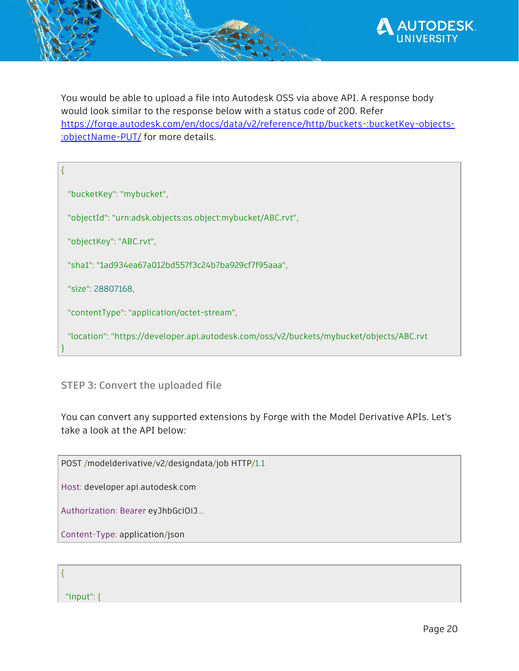

You would be able to upload a file into Autodesk OSS via above API. A response body would look similar to the response below with a status code of 200. Refer [https://forge.autodesk.com/en/docs/data/v2/reference/http/buckets-:bucketKey-objects-](https://forge.autodesk.com/en/docs/data/v2/reference/http/buckets-:bucketKey-objects-:objectName-PUT/) [:objectName-PUT/](https://forge.autodesk.com/en/docs/data/v2/reference/http/buckets-:bucketKey-objects-:objectName-PUT/) for more details.

"bucketKey": "mybucket",

{

}

"objectId": "urn:adsk.objects:os.object:mybucket/ABC.rvt",

"objectKey": "ABC.rvt",

"sha1": "1ad934ea67a012bd557f3c24b7ba929cf7f95aaa",

"size": 28807168,

"contentType": "application/octet-stream",

"location": "https://developer.api.autodesk.com/oss/v2/buckets/mybucket/objects/ABC.rvt

### <span id="page-19-0"></span>**STEP 3: Convert the uploaded file**

You can convert any supported extensions by Forge with the Model Derivative APIs. Let's take a look at the API below:

POST /modelderivative/v2/designdata/job HTTP/1.1

Host: developer.api.autodesk.com

Authorization: Bearer eyJhbGciOiJ...

Content-Type: application/json

{

"input": {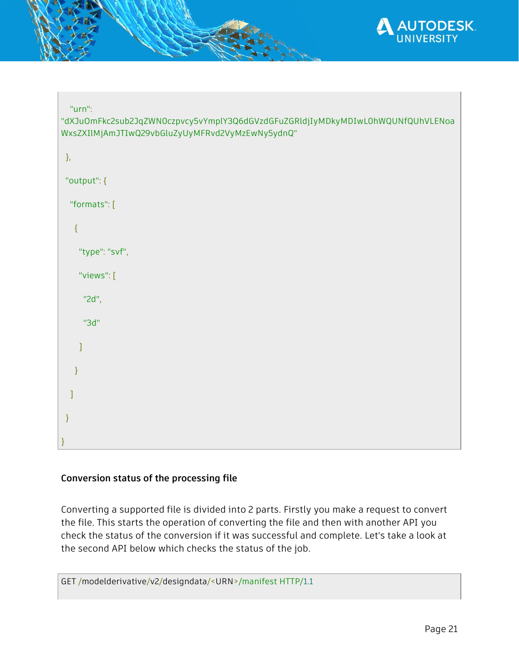

| "urn": |
|--------|

"dXJuOmFkc2sub2JqZWN0czpvcy5vYmplY3Q6dGVzdGFuZGRldjIyMDkyMDIwL0hWQUNfQUhVLENoa WxsZXIlMjAmJTIwQ29vbGluZyUyMFRvd2VyMzEwNy5ydnQ"

| $\},$          |
|----------------|
| "output": {    |
| "formats": [   |
| $\{$           |
| "type": "svf", |
| "views": [     |
| "2d",          |
| "3d"           |
| l              |
| $\}$           |
| J              |
| $\}$           |
| $\}$           |

## **Conversion status of the processing file**

Converting a supported file is divided into 2 parts. Firstly you make a request to convert the file. This starts the operation of converting the file and then with another API you check the status of the conversion if it was successful and complete. Let's take a look at the second API below which checks the status of the job.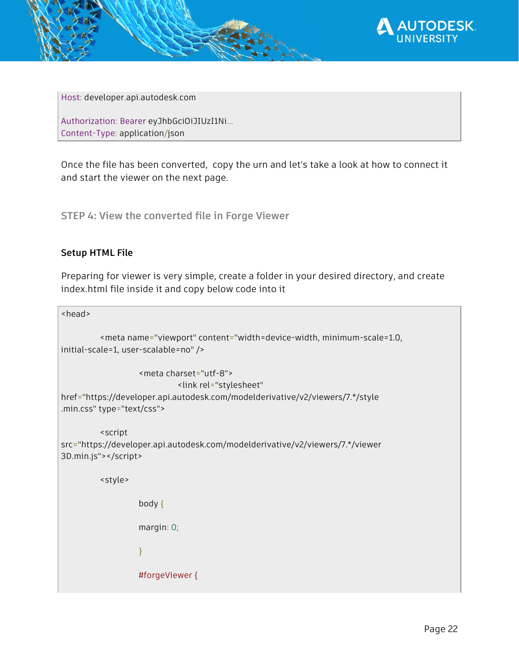

Host: developer.api.autodesk.com

Authorization: Bearer eyJhbGciOiJIUzI1Ni... Content-Type: application/json

Once the file has been converted, copy the urn and let's take a look at how to connect it and start the viewer on the next page.

<span id="page-21-0"></span>**STEP 4: View the converted file in Forge Viewer**

### **Setup HTML File**

Preparing for viewer is very simple, create a folder in your desired directory, and create index.html file inside it and copy below code into it

```
<head>
         <meta name="viewport" content="width=device-width, minimum-scale=1.0,
initial-scale=1, user-scalable=no" />
                  <meta charset="utf-8">
                            <link rel="stylesheet" 
href="https://developer.api.autodesk.com/modelderivative/v2/viewers/7.*/style
.min.css" type="text/css">
         <script
src="https://developer.api.autodesk.com/modelderivative/v2/viewers/7.*/viewer
3D.min.js"></script>
         <style>
                  body {
                  margin: 0;
                  }
                  #forgeViewer {
```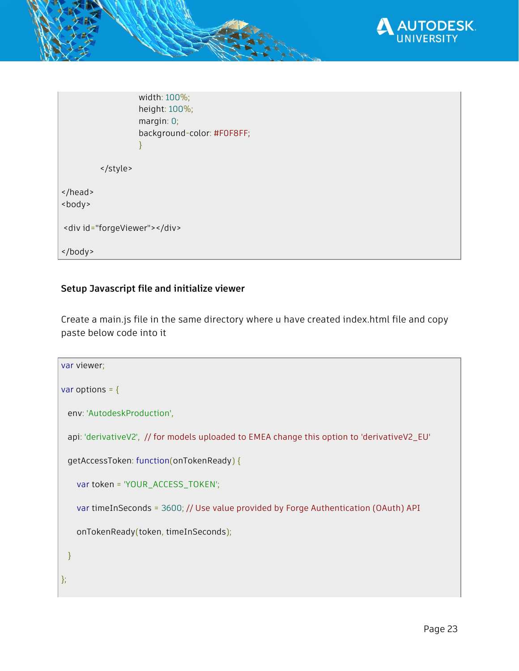

width: 100%; height: 100%; margin: 0; background-color: #F0F8FF; } </style> </head> <body> <div id="forgeViewer"></div> </body>

### **Setup Javascript file and initialize viewer**

Create a main.js file in the same directory where u have created index.html file and copy paste below code into it

```
var viewer;
var options = {
  env: 'AutodeskProduction',
  api: 'derivativeV2', // for models uploaded to EMEA change this option to 'derivativeV2_EU'
  getAccessToken: function(onTokenReady) {
    var token = 'YOUR_ACCESS_TOKEN';
    var timeInSeconds = 3600; // Use value provided by Forge Authentication (OAuth) API
    onTokenReady(token, timeInSeconds);
  }
};
```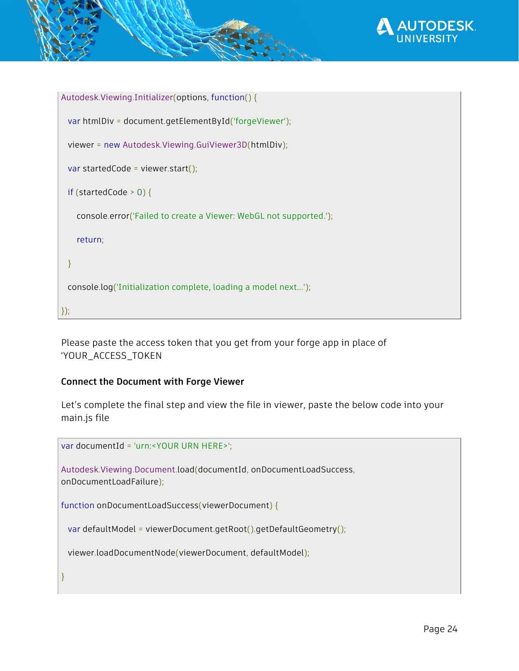

```
Autodesk.Viewing.Initializer(options, function() {
  var htmlDiv = document.getElementById('forgeViewer');
  viewer = new Autodesk.Viewing.GuiViewer3D(htmlDiv);
 var startedCode = viewer.start();
  if (startedCode > 0) {
     console.error('Failed to create a Viewer: WebGL not supported.');
     return;
  }
  console.log('Initialization complete, loading a model next...');
});
```
Please paste the access token that you get from your forge app in place of 'YOUR\_ACCESS\_TOKEN

### **Connect the Document with Forge Viewer**

Let's complete the final step and view the file in viewer, paste the below code into your main.js file

```
var documentId = 'urn:<YOUR URN HERE>';
Autodesk.Viewing.Document.load(documentId, onDocumentLoadSuccess,
onDocumentLoadFailure);
function onDocumentLoadSuccess(viewerDocument) {
```
var defaultModel = viewerDocument.getRoot().getDefaultGeometry();

```
 viewer.loadDocumentNode(viewerDocument, defaultModel);
```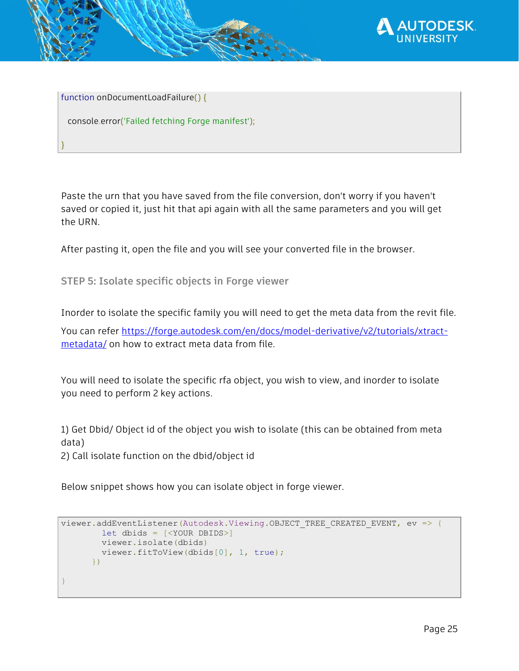

function onDocumentLoadFailure() {

}

console.error('Failed fetching Forge manifest');

Paste the urn that you have saved from the file conversion, don't worry if you haven't saved or copied it, just hit that api again with all the same parameters and you will get the URN.

After pasting it, open the file and you will see your converted file in the browser.

<span id="page-24-0"></span>**STEP 5: Isolate specific objects in Forge viewer**

Inorder to isolate the specific family you will need to get the meta data from the revit file.

You can refer [https://forge.autodesk.com/en/docs/model-derivative/v2/tutorials/xtract](https://forge.autodesk.com/en/docs/model-derivative/v2/tutorials/xtract-metadata/)[metadata/](https://forge.autodesk.com/en/docs/model-derivative/v2/tutorials/xtract-metadata/) on how to extract meta data from file.

You will need to isolate the specific rfa object, you wish to view, and inorder to isolate you need to perform 2 key actions.

1) Get Dbid/ Object id of the object you wish to isolate (this can be obtained from meta data) 2) Call isolate function on the dbid/object id

Below snippet shows how you can isolate object in forge viewer.

```
viewer.addEventListener(Autodesk.Viewing.OBJECT_TREE_CREATED_EVENT, ev => {
        let dbids = [<YOUR DBIDS>]
        viewer.isolate(dbids)
        viewer.fitToView(dbids[0], 1, true);
       })
}
```